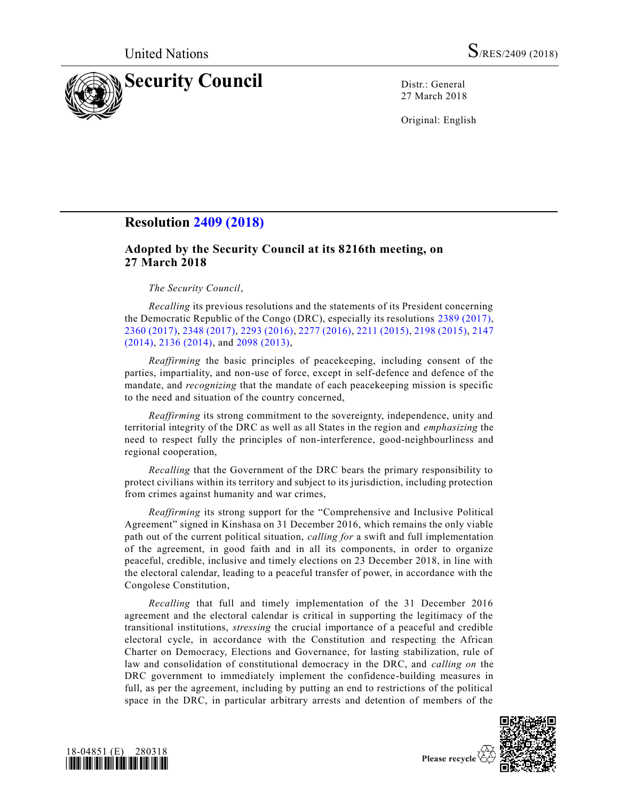

27 March 2018

Original: English

# **Resolution [2409 \(2018\)](https://undocs.org/S/RES/2409(2018))**

# **Adopted by the Security Council at its 8216th meeting, on 27 March 2018**

# *The Security Council*,

*Recalling* its previous resolutions and the statements of its President concerning the Democratic Republic of the Congo (DRC), especially its resolutions [2389 \(2017\),](https://undocs.org/S/RES/2389(2017)) [2360 \(2017\),](https://undocs.org/S/RES/2360(2017)) [2348 \(2017\),](https://undocs.org/S/RES/2348(2017)) [2293 \(2016\),](https://undocs.org/S/RES/2293(2016)) [2277 \(2016\),](https://undocs.org/S/RES/2277(2016)) [2211 \(2015\),](https://undocs.org/S/RES/2211(2015)) [2198 \(2015\),](https://undocs.org/S/RES/2198(2015)) [2147](https://undocs.org/S/RES/2147(2014))  [\(2014\),](https://undocs.org/S/RES/2147(2014)) [2136 \(2014\),](https://undocs.org/S/RES/2136(2014)) and [2098 \(2013\),](https://undocs.org/S/RES/2098(2013))

*Reaffirming* the basic principles of peacekeeping, including consent of the parties, impartiality, and non-use of force, except in self-defence and defence of the mandate, and *recognizing* that the mandate of each peacekeeping mission is specific to the need and situation of the country concerned,

*Reaffirming* its strong commitment to the sovereignty, independence, unity and territorial integrity of the DRC as well as all States in the region and *emphasizing* the need to respect fully the principles of non-interference, good-neighbourliness and regional cooperation,

*Recalling* that the Government of the DRC bears the primary responsibility to protect civilians within its territory and subject to its jurisdiction, including protection from crimes against humanity and war crimes,

*Reaffirming* its strong support for the "Comprehensive and Inclusive Political Agreement" signed in Kinshasa on 31 December 2016, which remains the only viable path out of the current political situation, *calling for* a swift and full implementation of the agreement, in good faith and in all its components, in order to organize peaceful, credible, inclusive and timely elections on 23 December 2018, in line with the electoral calendar, leading to a peaceful transfer of power, in accordance with the Congolese Constitution,

*Recalling* that full and timely implementation of the 31 December 2016 agreement and the electoral calendar is critical in supporting the legitimacy of the transitional institutions, *stressing* the crucial importance of a peaceful and credible electoral cycle, in accordance with the Constitution and respecting the African Charter on Democracy, Elections and Governance, for lasting stabilization, rule of law and consolidation of constitutional democracy in the DRC, and *calling on* the DRC government to immediately implement the confidence-building measures in full, as per the agreement, including by putting an end to restrictions of the political space in the DRC, in particular arbitrary arrests and detention of members of the



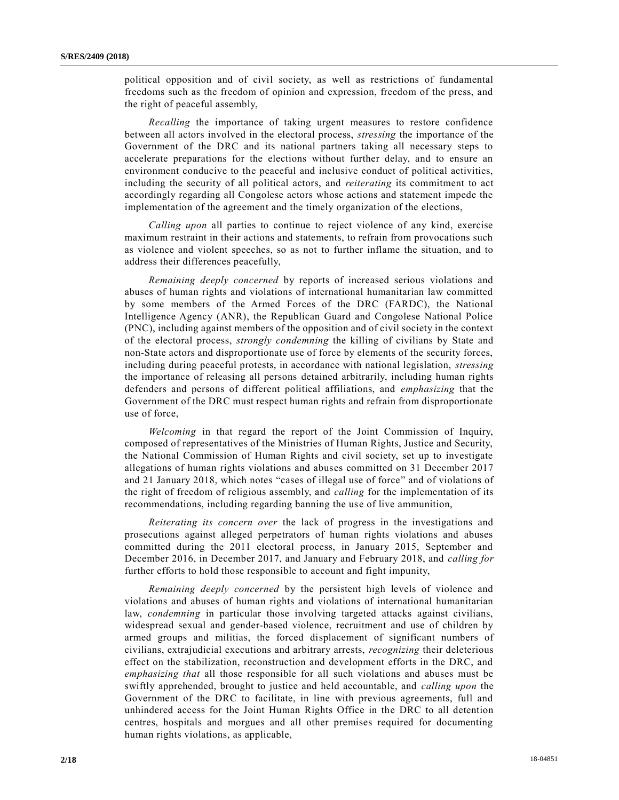political opposition and of civil society, as well as restrictions of fundamental freedoms such as the freedom of opinion and expression, freedom of the press, and the right of peaceful assembly,

*Recalling* the importance of taking urgent measures to restore confidence between all actors involved in the electoral process, *stressing* the importance of the Government of the DRC and its national partners taking all necessary steps to accelerate preparations for the elections without further delay, and to ensure an environment conducive to the peaceful and inclusive conduct of political activities, including the security of all political actors, and *reiterating* its commitment to act accordingly regarding all Congolese actors whose actions and statement impede the implementation of the agreement and the timely organization of the elections,

*Calling upon* all parties to continue to reject violence of any kind, exercise maximum restraint in their actions and statements, to refrain from provocations such as violence and violent speeches, so as not to further inflame the situation, and to address their differences peacefully,

*Remaining deeply concerned* by reports of increased serious violations and abuses of human rights and violations of international humanitarian law committed by some members of the Armed Forces of the DRC (FARDC), the National Intelligence Agency (ANR), the Republican Guard and Congolese National Police (PNC), including against members of the opposition and of civil society in the context of the electoral process, *strongly condemning* the killing of civilians by State and non-State actors and disproportionate use of force by elements of the security forces, including during peaceful protests, in accordance with national legislation, *stressing* the importance of releasing all persons detained arbitrarily, including human rights defenders and persons of different political affiliations, and *emphasizing* that the Government of the DRC must respect human rights and refrain from disproportionate use of force,

*Welcoming* in that regard the report of the Joint Commission of Inquiry, composed of representatives of the Ministries of Human Rights, Justice and Security, the National Commission of Human Rights and civil society, set up to investigate allegations of human rights violations and abuses committed on 31 December 2017 and 21 January 2018, which notes "cases of illegal use of force" and of violations of the right of freedom of religious assembly, and *calling* for the implementation of its recommendations, including regarding banning the use of live ammunition,

*Reiterating its concern over* the lack of progress in the investigations and prosecutions against alleged perpetrators of human rights violations and abuses committed during the 2011 electoral process, in January 2015, September and December 2016, in December 2017, and January and February 2018, and *calling for* further efforts to hold those responsible to account and fight impunity,

*Remaining deeply concerned* by the persistent high levels of violence and violations and abuses of human rights and violations of international humanitarian law, *condemning* in particular those involving targeted attacks against civilians, widespread sexual and gender-based violence, recruitment and use of children by armed groups and militias, the forced displacement of significant numbers of civilians, extrajudicial executions and arbitrary arrests, *recognizing* their deleterious effect on the stabilization, reconstruction and development efforts in the DRC, and *emphasizing that* all those responsible for all such violations and abuses must be swiftly apprehended, brought to justice and held accountable, and *calling upon* the Government of the DRC to facilitate, in line with previous agreements, full and unhindered access for the Joint Human Rights Office in the DRC to all detention centres, hospitals and morgues and all other premises required for documenting human rights violations, as applicable,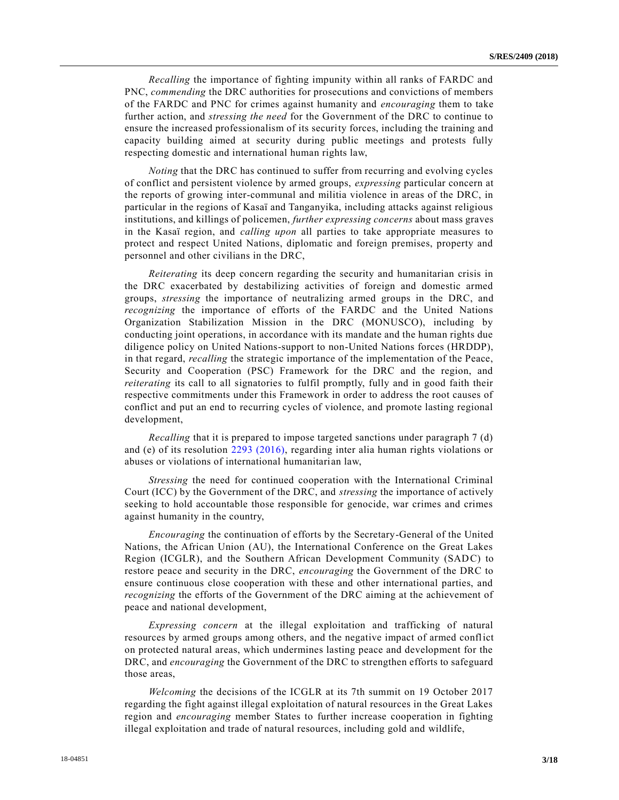*Recalling* the importance of fighting impunity within all ranks of FARDC and PNC, *commending* the DRC authorities for prosecutions and convictions of members of the FARDC and PNC for crimes against humanity and *encouraging* them to take further action, and *stressing the need* for the Government of the DRC to continue to ensure the increased professionalism of its security forces, including the training and capacity building aimed at security during public meetings and protests fully respecting domestic and international human rights law,

*Noting* that the DRC has continued to suffer from recurring and evolving cycles of conflict and persistent violence by armed groups, *expressing* particular concern at the reports of growing inter-communal and militia violence in areas of the DRC, in particular in the regions of Kasaï and Tanganyika, including attacks against religious institutions, and killings of policemen, *further expressing concerns* about mass graves in the Kasaï region, and *calling upon* all parties to take appropriate measures to protect and respect United Nations, diplomatic and foreign premises, property and personnel and other civilians in the DRC,

*Reiterating* its deep concern regarding the security and humanitarian crisis in the DRC exacerbated by destabilizing activities of foreign and domestic armed groups, *stressing* the importance of neutralizing armed groups in the DRC, and *recognizing* the importance of efforts of the FARDC and the United Nations Organization Stabilization Mission in the DRC (MONUSCO), including by conducting joint operations, in accordance with its mandate and the human rights due diligence policy on United Nations-support to non-United Nations forces (HRDDP), in that regard, *recalling* the strategic importance of the implementation of the Peace, Security and Cooperation (PSC) Framework for the DRC and the region, and *reiterating* its call to all signatories to fulfil promptly, fully and in good faith their respective commitments under this Framework in order to address the root causes of conflict and put an end to recurring cycles of violence, and promote lasting regional development,

*Recalling* that it is prepared to impose targeted sanctions under paragraph 7 (d) and (e) of its resolution [2293 \(2016\),](https://undocs.org/S/RES/2293(2016)) regarding inter alia human rights violations or abuses or violations of international humanitarian law,

*Stressing* the need for continued cooperation with the International Criminal Court (ICC) by the Government of the DRC, and *stressing* the importance of actively seeking to hold accountable those responsible for genocide, war crimes and crimes against humanity in the country,

*Encouraging* the continuation of efforts by the Secretary-General of the United Nations, the African Union (AU), the International Conference on the Great Lakes Region (ICGLR), and the Southern African Development Community (SADC) to restore peace and security in the DRC, *encouraging* the Government of the DRC to ensure continuous close cooperation with these and other international parties, and *recognizing* the efforts of the Government of the DRC aiming at the achievement of peace and national development,

*Expressing concern* at the illegal exploitation and trafficking of natural resources by armed groups among others, and the negative impact of armed conflict on protected natural areas, which undermines lasting peace and development for the DRC, and *encouraging* the Government of the DRC to strengthen efforts to safeguard those areas,

*Welcoming* the decisions of the ICGLR at its 7th summit on 19 October 2017 regarding the fight against illegal exploitation of natural resources in the Great Lakes region and *encouraging* member States to further increase cooperation in fighting illegal exploitation and trade of natural resources, including gold and wildlife,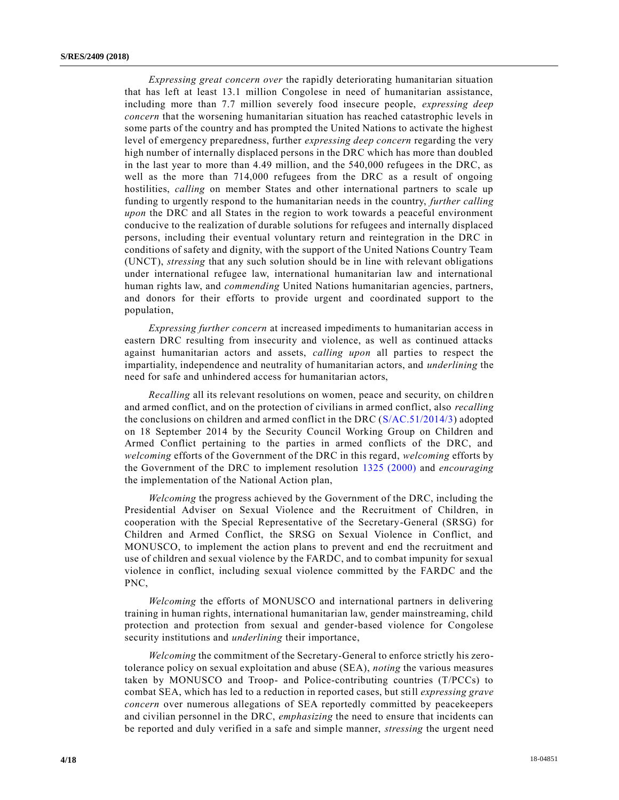*Expressing great concern over* the rapidly deteriorating humanitarian situation that has left at least 13.1 million Congolese in need of humanitarian assistance, including more than 7.7 million severely food insecure people, *expressing deep concern* that the worsening humanitarian situation has reached catastrophic levels in some parts of the country and has prompted the United Nations to activate the highest level of emergency preparedness, further *expressing deep concern* regarding the very high number of internally displaced persons in the DRC which has more than doubled in the last year to more than 4.49 million, and the 540,000 refugees in the DRC, as well as the more than 714,000 refugees from the DRC as a result of ongoing hostilities, *calling* on member States and other international partners to scale up funding to urgently respond to the humanitarian needs in the country, *further calling upon* the DRC and all States in the region to work towards a peaceful environment conducive to the realization of durable solutions for refugees and internally displaced persons, including their eventual voluntary return and reintegration in the DRC in conditions of safety and dignity, with the support of the United Nations Country Team (UNCT), *stressing* that any such solution should be in line with relevant obligations under international refugee law, international humanitarian law and international human rights law, and *commending* United Nations humanitarian agencies, partners, and donors for their efforts to provide urgent and coordinated support to the population,

*Expressing further concern* at increased impediments to humanitarian access in eastern DRC resulting from insecurity and violence, as well as continued attacks against humanitarian actors and assets, *calling upon* all parties to respect the impartiality, independence and neutrality of humanitarian actors, and *underlining* the need for safe and unhindered access for humanitarian actors,

*Recalling* all its relevant resolutions on women, peace and security, on children and armed conflict, and on the protection of civilians in armed conflict, also *recalling* the conclusions on children and armed conflict in the DRC [\(S/AC.51/2014/3\)](https://undocs.org/S/AC.51/2014/3) adopted on 18 September 2014 by the Security Council Working Group on Children and Armed Conflict pertaining to the parties in armed conflicts of the DRC, and *welcoming* efforts of the Government of the DRC in this regard, *welcoming* efforts by the Government of the DRC to implement resolution [1325 \(2000\)](https://undocs.org/S/RES/1325(2000)) and *encouraging* the implementation of the National Action plan,

*Welcoming* the progress achieved by the Government of the DRC, including the Presidential Adviser on Sexual Violence and the Recruitment of Children, in cooperation with the Special Representative of the Secretary-General (SRSG) for Children and Armed Conflict, the SRSG on Sexual Violence in Conflict, and MONUSCO, to implement the action plans to prevent and end the recruitment and use of children and sexual violence by the FARDC, and to combat impunity for sexual violence in conflict, including sexual violence committed by the FARDC and the PNC,

*Welcoming* the efforts of MONUSCO and international partners in delivering training in human rights, international humanitarian law, gender mainstreaming, child protection and protection from sexual and gender-based violence for Congolese security institutions and *underlining* their importance,

*Welcoming* the commitment of the Secretary-General to enforce strictly his zerotolerance policy on sexual exploitation and abuse (SEA), *noting* the various measures taken by MONUSCO and Troop- and Police-contributing countries (T/PCCs) to combat SEA, which has led to a reduction in reported cases, but still *expressing grave concern* over numerous allegations of SEA reportedly committed by peacekeepers and civilian personnel in the DRC, *emphasizing* the need to ensure that incidents can be reported and duly verified in a safe and simple manner, *stressing* the urgent need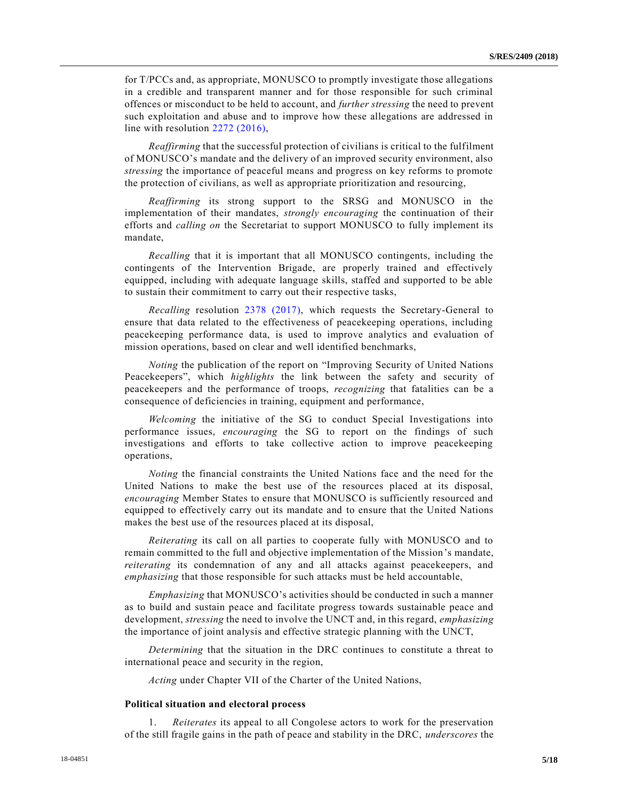for T/PCCs and, as appropriate, MONUSCO to promptly investigate those allegations in a credible and transparent manner and for those responsible for such criminal offences or misconduct to be held to account, and *further stressing* the need to prevent such exploitation and abuse and to improve how these allegations are addressed in line with resolution [2272 \(2016\),](https://undocs.org/S/RES/2272(2016))

*Reaffirming* that the successful protection of civilians is critical to the fulfilment of MONUSCO's mandate and the delivery of an improved security environment, also *stressing* the importance of peaceful means and progress on key reforms to promote the protection of civilians, as well as appropriate prioritization and resourcing,

*Reaffirming* its strong support to the SRSG and MONUSCO in the implementation of their mandates, *strongly encouraging* the continuation of their efforts and *calling on* the Secretariat to support MONUSCO to fully implement its mandate,

*Recalling* that it is important that all MONUSCO contingents, including the contingents of the Intervention Brigade, are properly trained and effectively equipped, including with adequate language skills, staffed and supported to be able to sustain their commitment to carry out their respective tasks,

*Recalling* resolution [2378 \(2017\),](https://undocs.org/S/RES/2378(2017)) which requests the Secretary-General to ensure that data related to the effectiveness of peacekeeping operations, including peacekeeping performance data, is used to improve analytics and evaluation of mission operations, based on clear and well identified benchmarks,

*Noting* the publication of the report on "Improving Security of United Nations Peacekeepers", which *highlights* the link between the safety and security of peacekeepers and the performance of troops, *recognizing* that fatalities can be a consequence of deficiencies in training, equipment and performance,

*Welcoming* the initiative of the SG to conduct Special Investigations into performance issues, *encouraging* the SG to report on the findings of such investigations and efforts to take collective action to improve peacekeeping operations,

*Noting* the financial constraints the United Nations face and the need for the United Nations to make the best use of the resources placed at its disposal, *encouraging* Member States to ensure that MONUSCO is sufficiently resourced and equipped to effectively carry out its mandate and to ensure that the United Nations makes the best use of the resources placed at its disposal,

*Reiterating* its call on all parties to cooperate fully with MONUSCO and to remain committed to the full and objective implementation of the Mission's mandate, *reiterating* its condemnation of any and all attacks against peacekeepers, and *emphasizing* that those responsible for such attacks must be held accountable,

*Emphasizing* that MONUSCO's activities should be conducted in such a manner as to build and sustain peace and facilitate progress towards sustainable peace and development, *stressing* the need to involve the UNCT and, in this regard, *emphasizing* the importance of joint analysis and effective strategic planning with the UNCT,

*Determining* that the situation in the DRC continues to constitute a threat to international peace and security in the region,

*Acting* under Chapter VII of the Charter of the United Nations,

# **Political situation and electoral process**

*Reiterates* its appeal to all Congolese actors to work for the preservation of the still fragile gains in the path of peace and stability in the DRC, *underscores* the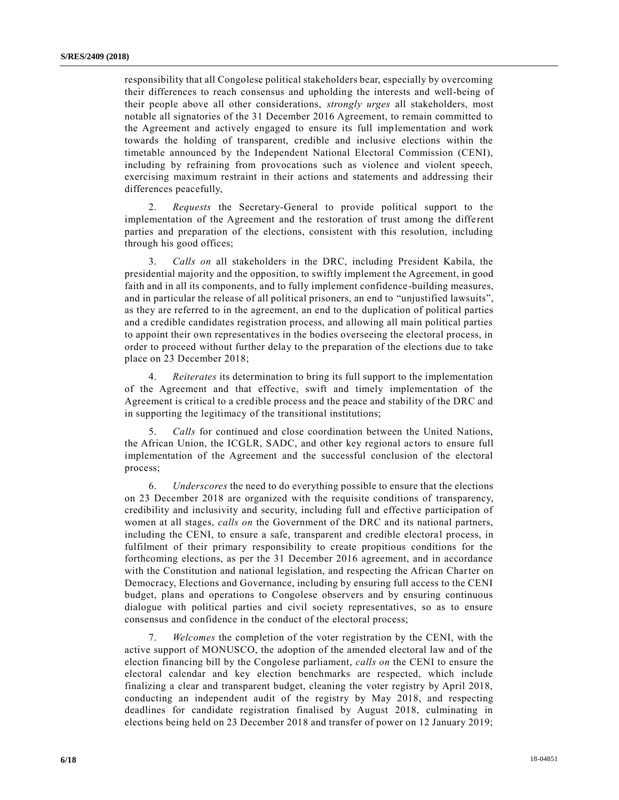responsibility that all Congolese political stakeholders bear, especially by overcoming their differences to reach consensus and upholding the interests and well-being of their people above all other considerations, *strongly urges* all stakeholders, most notable all signatories of the 31 December 2016 Agreement, to remain committed to the Agreement and actively engaged to ensure its full implementation and work towards the holding of transparent, credible and inclusive elections within the timetable announced by the Independent National Electoral Commission (CENI), including by refraining from provocations such as violence and violent speech, exercising maximum restraint in their actions and statements and addressing their differences peacefully,

2. *Requests* the Secretary-General to provide political support to the implementation of the Agreement and the restoration of trust among the diffe rent parties and preparation of the elections, consistent with this resolution, including through his good offices;

3. *Calls on* all stakeholders in the DRC, including President Kabila, the presidential majority and the opposition, to swiftly implement the Agreement, in good faith and in all its components, and to fully implement confidence-building measures, and in particular the release of all political prisoners, an end to "unjustified lawsuits", as they are referred to in the agreement, an end to the duplication of political parties and a credible candidates registration process, and allowing all main political parties to appoint their own representatives in the bodies overseeing the electoral process, in order to proceed without further delay to the preparation of the elections due to take place on 23 December 2018;

4. *Reiterates* its determination to bring its full support to the implementation of the Agreement and that effective, swift and timely implementation of the Agreement is critical to a credible process and the peace and stability of the DRC and in supporting the legitimacy of the transitional institutions;

5. *Calls* for continued and close coordination between the United Nations, the African Union, the ICGLR, SADC, and other key regional actors to ensure full implementation of the Agreement and the successful conclusion of the electoral process;

6. *Underscores* the need to do everything possible to ensure that the elections on 23 December 2018 are organized with the requisite conditions of transparency, credibility and inclusivity and security, including full and effective participation of women at all stages, *calls on* the Government of the DRC and its national partners, including the CENI, to ensure a safe, transparent and credible electoral process, in fulfilment of their primary responsibility to create propitious conditions for the forthcoming elections, as per the 31 December 2016 agreement, and in accordance with the Constitution and national legislation, and respecting the African Charter on Democracy, Elections and Governance, including by ensuring full access to the CENI budget, plans and operations to Congolese observers and by ensuring continuous dialogue with political parties and civil society representatives, so as to ensure consensus and confidence in the conduct of the electoral process;

7. *Welcomes* the completion of the voter registration by the CENI, with the active support of MONUSCO, the adoption of the amended electoral law and of the election financing bill by the Congolese parliament, *calls on* the CENI to ensure the electoral calendar and key election benchmarks are respected, which include finalizing a clear and transparent budget, cleaning the voter registry by April 2018, conducting an independent audit of the registry by May 2018, and respecting deadlines for candidate registration finalised by August 2018, culminating in elections being held on 23 December 2018 and transfer of power on 12 January 2019;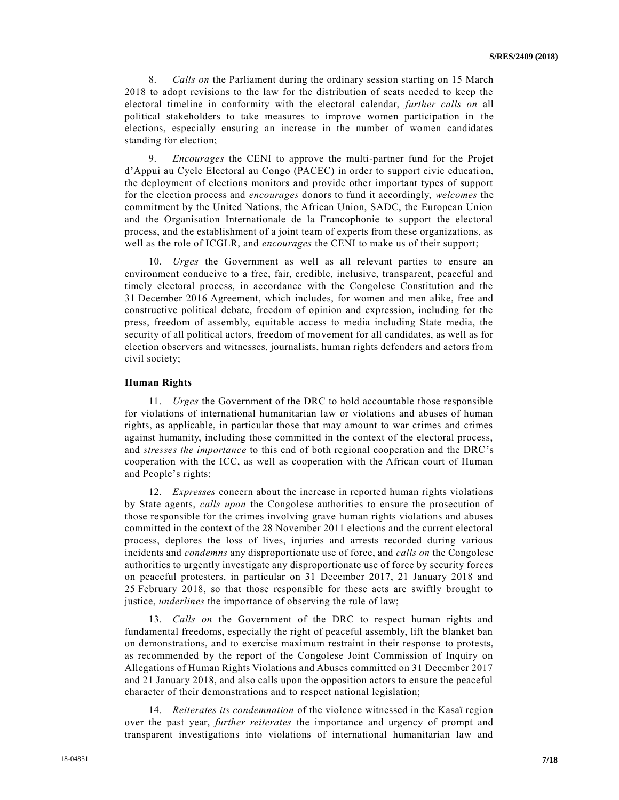8. *Calls on* the Parliament during the ordinary session starting on 15 March 2018 to adopt revisions to the law for the distribution of seats needed to keep the electoral timeline in conformity with the electoral calendar, *further calls on* all political stakeholders to take measures to improve women participation in the elections, especially ensuring an increase in the number of women candidates standing for election;

9. *Encourages* the CENI to approve the multi-partner fund for the Projet d'Appui au Cycle Electoral au Congo (PACEC) in order to support civic educati on, the deployment of elections monitors and provide other important types of support for the election process and *encourages* donors to fund it accordingly, *welcomes* the commitment by the United Nations, the African Union, SADC, the European Union and the Organisation Internationale de la Francophonie to support the electoral process, and the establishment of a joint team of experts from these organizations, as well as the role of ICGLR, and *encourages* the CENI to make us of their support;

10. *Urges* the Government as well as all relevant parties to ensure an environment conducive to a free, fair, credible, inclusive, transparent, peaceful and timely electoral process, in accordance with the Congolese Constitution and the 31 December 2016 Agreement, which includes, for women and men alike, free and constructive political debate, freedom of opinion and expression, including for the press, freedom of assembly, equitable access to media including State media, the security of all political actors, freedom of movement for all candidates, as well as for election observers and witnesses, journalists, human rights defenders and actors from civil society;

#### **Human Rights**

11. *Urges* the Government of the DRC to hold accountable those responsible for violations of international humanitarian law or violations and abuses of human rights, as applicable, in particular those that may amount to war crimes and crimes against humanity, including those committed in the context of the electoral process, and *stresses the importance* to this end of both regional cooperation and the DRC's cooperation with the ICC, as well as cooperation with the African court of Human and People's rights;

12. *Expresses* concern about the increase in reported human rights violations by State agents, *calls upon* the Congolese authorities to ensure the prosecution of those responsible for the crimes involving grave human rights violations and abuses committed in the context of the 28 November 2011 elections and the current electoral process, deplores the loss of lives, injuries and arrests recorded during various incidents and *condemns* any disproportionate use of force, and *calls on* the Congolese authorities to urgently investigate any disproportionate use of force by security forces on peaceful protesters, in particular on 31 December 2017, 21 January 2018 and 25 February 2018, so that those responsible for these acts are swiftly brought to justice, *underlines* the importance of observing the rule of law;

13. *Calls on* the Government of the DRC to respect human rights and fundamental freedoms, especially the right of peaceful assembly, lift the blanket ban on demonstrations, and to exercise maximum restraint in their response to protests, as recommended by the report of the Congolese Joint Commission of Inquiry on Allegations of Human Rights Violations and Abuses committed on 31 December 2017 and 21 January 2018, and also calls upon the opposition actors to ensure the peaceful character of their demonstrations and to respect national legislation;

14. *Reiterates its condemnation* of the violence witnessed in the Kasaï region over the past year, *further reiterates* the importance and urgency of prompt and transparent investigations into violations of international humanitarian law and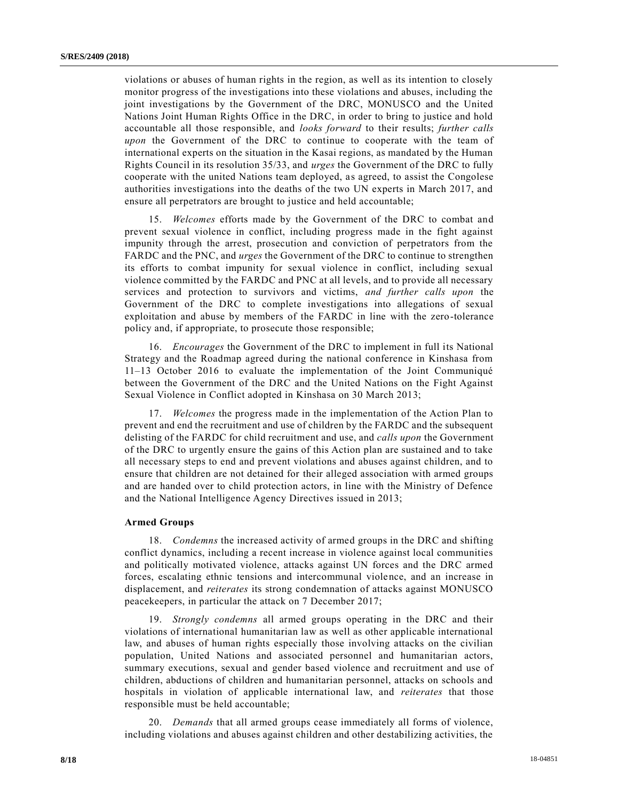violations or abuses of human rights in the region, as well as its intention to closely monitor progress of the investigations into these violations and abuses, including the joint investigations by the Government of the DRC, MONUSCO and the United Nations Joint Human Rights Office in the DRC, in order to bring to justice and hold accountable all those responsible, and *looks forward* to their results; *further calls upon* the Government of the DRC to continue to cooperate with the team of international experts on the situation in the Kasai regions, as mandated by the Human Rights Council in its resolution 35/33, and *urges* the Government of the DRC to fully cooperate with the united Nations team deployed, as agreed, to assist the Congolese authorities investigations into the deaths of the two UN experts in March 2017, and ensure all perpetrators are brought to justice and held accountable;

15. *Welcomes* efforts made by the Government of the DRC to combat and prevent sexual violence in conflict, including progress made in the fight against impunity through the arrest, prosecution and conviction of perpetrators from the FARDC and the PNC, and *urges* the Government of the DRC to continue to strengthen its efforts to combat impunity for sexual violence in conflict, including sexual violence committed by the FARDC and PNC at all levels, and to provide all necessary services and protection to survivors and victims, *and further calls upon* the Government of the DRC to complete investigations into allegations of sexual exploitation and abuse by members of the FARDC in line with the zero-tolerance policy and, if appropriate, to prosecute those responsible;

16. *Encourages* the Government of the DRC to implement in full its National Strategy and the Roadmap agreed during the national conference in Kinshasa from 11–13 October 2016 to evaluate the implementation of the Joint Communiqué between the Government of the DRC and the United Nations on the Fight Against Sexual Violence in Conflict adopted in Kinshasa on 30 March 2013;

17. *Welcomes* the progress made in the implementation of the Action Plan to prevent and end the recruitment and use of children by the FARDC and the subsequent delisting of the FARDC for child recruitment and use, and *calls upon* the Government of the DRC to urgently ensure the gains of this Action plan are sustained and to take all necessary steps to end and prevent violations and abuses against children, and to ensure that children are not detained for their alleged association with armed groups and are handed over to child protection actors, in line with the Ministry of Defence and the National Intelligence Agency Directives issued in 2013;

#### **Armed Groups**

18. *Condemns* the increased activity of armed groups in the DRC and shifting conflict dynamics, including a recent increase in violence against local communities and politically motivated violence, attacks against UN forces and the DRC armed forces, escalating ethnic tensions and intercommunal violence, and an increase in displacement, and *reiterates* its strong condemnation of attacks against MONUSCO peacekeepers, in particular the attack on 7 December 2017;

19. *Strongly condemns* all armed groups operating in the DRC and their violations of international humanitarian law as well as other applicable international law, and abuses of human rights especially those involving attacks on the civilian population, United Nations and associated personnel and humanitarian actors, summary executions, sexual and gender based violence and recruitment and use of children, abductions of children and humanitarian personnel, attacks on schools and hospitals in violation of applicable international law, and *reiterates* that those responsible must be held accountable;

20. *Demands* that all armed groups cease immediately all forms of violence, including violations and abuses against children and other destabilizing activities, the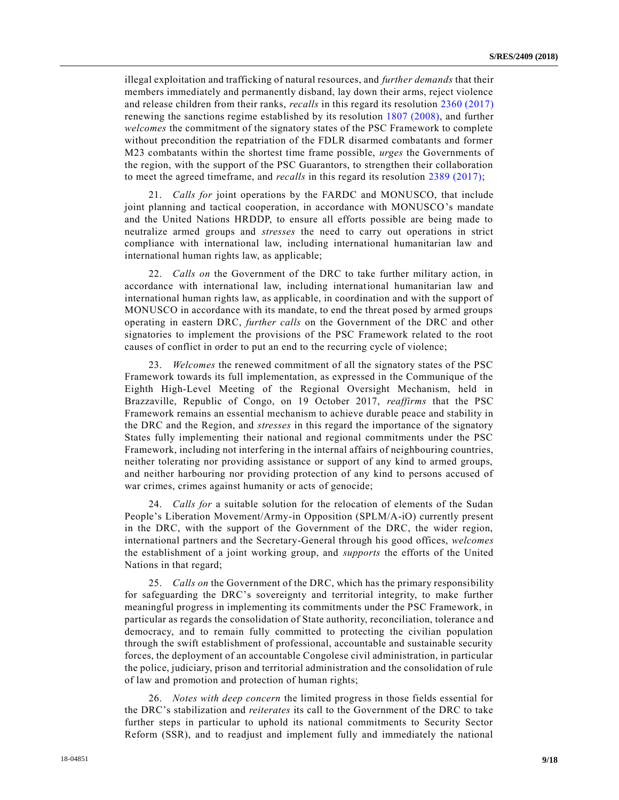illegal exploitation and trafficking of natural resources, and *further demands* that their members immediately and permanently disband, lay down their arms, reject violence and release children from their ranks, *recalls* in this regard its resolution [2360 \(2017\)](https://undocs.org/S/RES/2360(2017)) renewing the sanctions regime established by its resolution [1807 \(2008\),](https://undocs.org/S/RES/1807(2008)) and further *welcomes* the commitment of the signatory states of the PSC Framework to complete without precondition the repatriation of the FDLR disarmed combatants and former M23 combatants within the shortest time frame possible, *urges* the Governments of the region, with the support of the PSC Guarantors, to strengthen their collaboration to meet the agreed timeframe, and *recalls* in this regard its resolution [2389 \(2017\);](https://undocs.org/S/RES/2389(2017))

21. *Calls for* joint operations by the FARDC and MONUSCO, that include joint planning and tactical cooperation, in accordance with MONUSCO's mandate and the United Nations HRDDP, to ensure all efforts possible are being made to neutralize armed groups and *stresses* the need to carry out operations in strict compliance with international law, including international humanitarian law and international human rights law, as applicable;

22. *Calls on* the Government of the DRC to take further military action, in accordance with international law, including international humanitarian law and international human rights law, as applicable, in coordination and with the support of MONUSCO in accordance with its mandate, to end the threat posed by armed groups operating in eastern DRC, *further calls* on the Government of the DRC and other signatories to implement the provisions of the PSC Framework related to the root causes of conflict in order to put an end to the recurring cycle of violence;

23. *Welcomes* the renewed commitment of all the signatory states of the PSC Framework towards its full implementation, as expressed in the Communique of the Eighth High-Level Meeting of the Regional Oversight Mechanism, held in Brazzaville, Republic of Congo, on 19 October 2017, *reaffirms* that the PSC Framework remains an essential mechanism to achieve durable peace and stability in the DRC and the Region, and *stresses* in this regard the importance of the signatory States fully implementing their national and regional commitments under the PSC Framework, including not interfering in the internal affairs of neighbouring countries, neither tolerating nor providing assistance or support of any kind to armed groups, and neither harbouring nor providing protection of any kind to persons accused of war crimes, crimes against humanity or acts of genocide;

24. *Calls for* a suitable solution for the relocation of elements of the Sudan People's Liberation Movement/Army-in Opposition (SPLM/A-iO) currently present in the DRC, with the support of the Government of the DRC, the wider region, international partners and the Secretary-General through his good offices, *welcomes* the establishment of a joint working group, and *supports* the efforts of the United Nations in that regard;

25. *Calls on* the Government of the DRC, which has the primary responsibility for safeguarding the DRC's sovereignty and territorial integrity, to make further meaningful progress in implementing its commitments under the PSC Framework, in particular as regards the consolidation of State authority, reconciliation, tolerance a nd democracy, and to remain fully committed to protecting the civilian population through the swift establishment of professional, accountable and sustainable security forces, the deployment of an accountable Congolese civil administration, in particular the police, judiciary, prison and territorial administration and the consolidation of rule of law and promotion and protection of human rights;

26. *Notes with deep concern* the limited progress in those fields essential for the DRC's stabilization and *reiterates* its call to the Government of the DRC to take further steps in particular to uphold its national commitments to Security Sector Reform (SSR), and to readjust and implement fully and immediately the national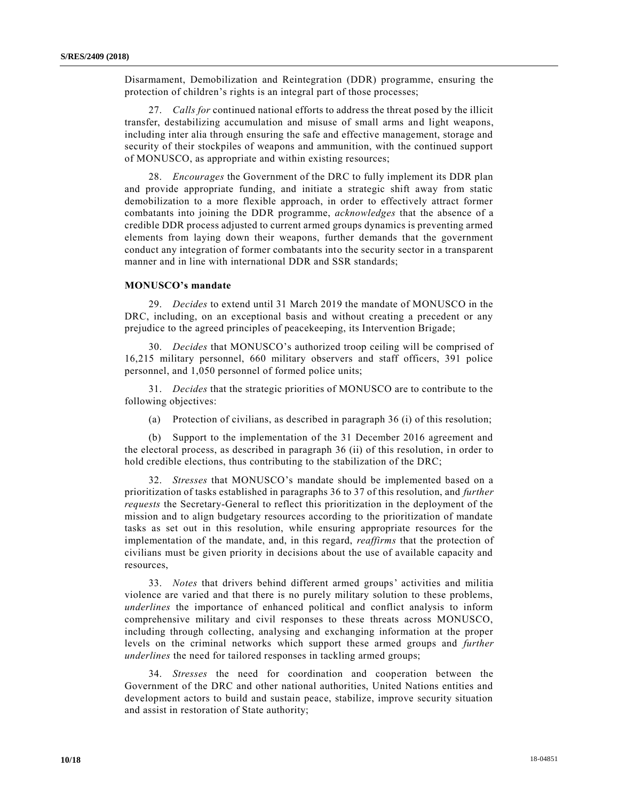Disarmament, Demobilization and Reintegration (DDR) programme, ensuring the protection of children's rights is an integral part of those processes;

27. *Calls for* continued national efforts to address the threat posed by the illicit transfer, destabilizing accumulation and misuse of small arms and light weapons, including inter alia through ensuring the safe and effective management, storage and security of their stockpiles of weapons and ammunition, with the continued support of MONUSCO, as appropriate and within existing resources;

28. *Encourages* the Government of the DRC to fully implement its DDR plan and provide appropriate funding, and initiate a strategic shift away from static demobilization to a more flexible approach, in order to effectively attract former combatants into joining the DDR programme, *acknowledges* that the absence of a credible DDR process adjusted to current armed groups dynamics is preventing armed elements from laying down their weapons, further demands that the government conduct any integration of former combatants into the security sector in a transparent manner and in line with international DDR and SSR standards;

# **MONUSCO's mandate**

29. *Decides* to extend until 31 March 2019 the mandate of MONUSCO in the DRC, including, on an exceptional basis and without creating a precedent or any prejudice to the agreed principles of peacekeeping, its Intervention Brigade;

30. *Decides* that MONUSCO's authorized troop ceiling will be comprised of 16,215 military personnel, 660 military observers and staff officers, 391 police personnel, and 1,050 personnel of formed police units;

31. *Decides* that the strategic priorities of MONUSCO are to contribute to the following objectives:

(a) Protection of civilians, as described in paragraph 36 (i) of this resolution;

(b) Support to the implementation of the 31 December 2016 agreement and the electoral process, as described in paragraph 36 (ii) of this resolution, in order to hold credible elections, thus contributing to the stabilization of the DRC;

32. *Stresses* that MONUSCO's mandate should be implemented based on a prioritization of tasks established in paragraphs 36 to 37 of this resolution, and *further requests* the Secretary-General to reflect this prioritization in the deployment of the mission and to align budgetary resources according to the prioritization of mandate tasks as set out in this resolution, while ensuring appropriate resources for the implementation of the mandate, and, in this regard, *reaffirms* that the protection of civilians must be given priority in decisions about the use of available capacity and resources,

33. *Notes* that drivers behind different armed groups' activities and militia violence are varied and that there is no purely military solution to these problems, *underlines* the importance of enhanced political and conflict analysis to inform comprehensive military and civil responses to these threats across MONUSCO, including through collecting, analysing and exchanging information at the proper levels on the criminal networks which support these armed groups and *further underlines* the need for tailored responses in tackling armed groups;

34. *Stresses* the need for coordination and cooperation between the Government of the DRC and other national authorities, United Nations entities and development actors to build and sustain peace, stabilize, improve security situation and assist in restoration of State authority;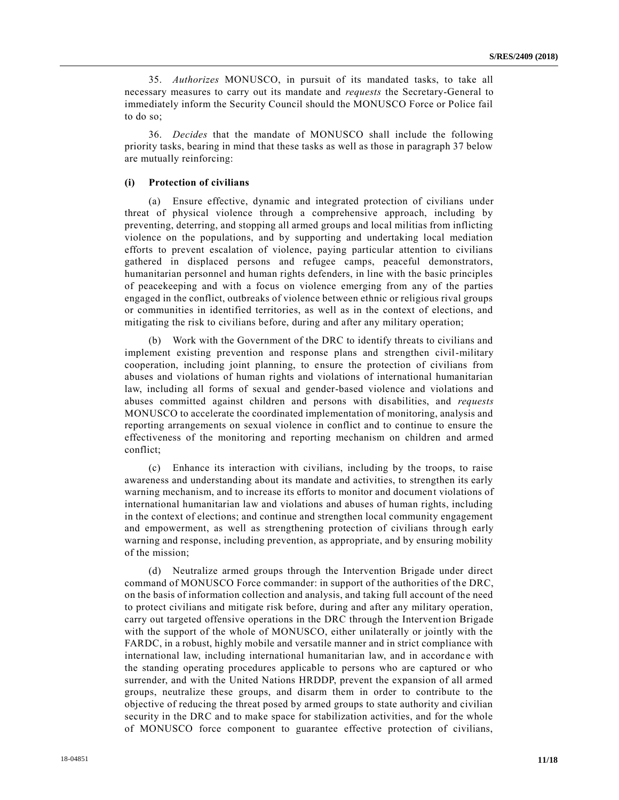35. *Authorizes* MONUSCO, in pursuit of its mandated tasks, to take all necessary measures to carry out its mandate and *requests* the Secretary-General to immediately inform the Security Council should the MONUSCO Force or Police fail to do so;

36. *Decides* that the mandate of MONUSCO shall include the following priority tasks, bearing in mind that these tasks as well as those in paragraph 37 below are mutually reinforcing:

# **(i) Protection of civilians**

(a) Ensure effective, dynamic and integrated protection of civilians under threat of physical violence through a comprehensive approach, including by preventing, deterring, and stopping all armed groups and local militias from inflicting violence on the populations, and by supporting and undertaking local mediation efforts to prevent escalation of violence, paying particular attention to civilians gathered in displaced persons and refugee camps, peaceful demonstrators, humanitarian personnel and human rights defenders, in line with the basic principles of peacekeeping and with a focus on violence emerging from any of the parties engaged in the conflict, outbreaks of violence between ethnic or religious rival groups or communities in identified territories, as well as in the context of elections, and mitigating the risk to civilians before, during and after any military operation;

Work with the Government of the DRC to identify threats to civilians and implement existing prevention and response plans and strengthen civil-military cooperation, including joint planning, to ensure the protection of civilians from abuses and violations of human rights and violations of international humanitarian law, including all forms of sexual and gender-based violence and violations and abuses committed against children and persons with disabilities, and *requests* MONUSCO to accelerate the coordinated implementation of monitoring, analysis and reporting arrangements on sexual violence in conflict and to continue to ensure the effectiveness of the monitoring and reporting mechanism on children and armed conflict;

(c) Enhance its interaction with civilians, including by the troops, to raise awareness and understanding about its mandate and activities, to strengthen its early warning mechanism, and to increase its efforts to monitor and document violations of international humanitarian law and violations and abuses of human rights, including in the context of elections; and continue and strengthen local community engagement and empowerment, as well as strengthening protection of civilians through early warning and response, including prevention, as appropriate, and by ensuring mobility of the mission;

(d) Neutralize armed groups through the Intervention Brigade under direct command of MONUSCO Force commander: in support of the authorities of the DRC, on the basis of information collection and analysis, and taking full account of the need to protect civilians and mitigate risk before, during and after any military operation, carry out targeted offensive operations in the DRC through the Intervention Brigade with the support of the whole of MONUSCO, either unilaterally or jointly with the FARDC, in a robust, highly mobile and versatile manner and in strict compliance with international law, including international humanitarian law, and in accordance with the standing operating procedures applicable to persons who are captured or who surrender, and with the United Nations HRDDP, prevent the expansion of all armed groups, neutralize these groups, and disarm them in order to contribute to the objective of reducing the threat posed by armed groups to state authority and civilian security in the DRC and to make space for stabilization activities, and for the whole of MONUSCO force component to guarantee effective protection of civilians,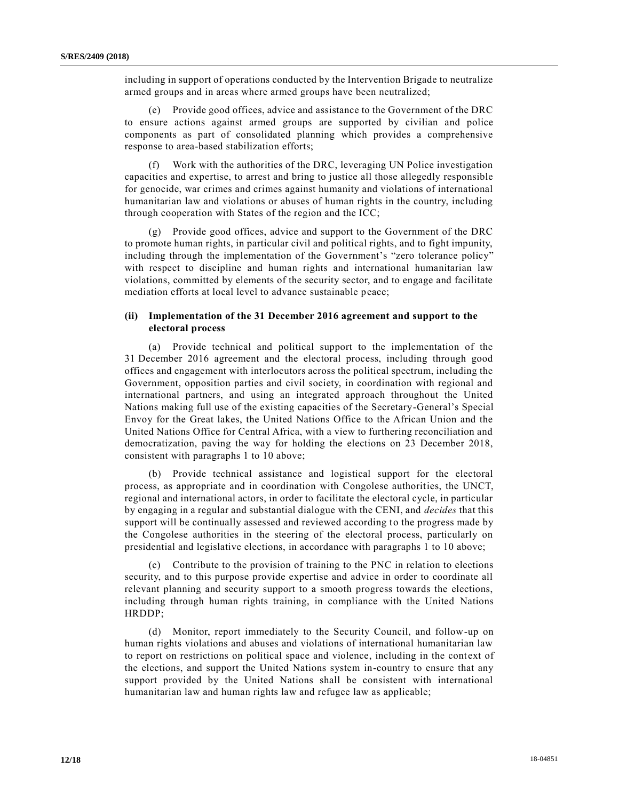including in support of operations conducted by the Intervention Brigade to neutralize armed groups and in areas where armed groups have been neutralized;

(e) Provide good offices, advice and assistance to the Government of the DRC to ensure actions against armed groups are supported by civilian and police components as part of consolidated planning which provides a comprehensive response to area-based stabilization efforts;

Work with the authorities of the DRC, leveraging UN Police investigation capacities and expertise, to arrest and bring to justice all those allegedly responsible for genocide, war crimes and crimes against humanity and violations of international humanitarian law and violations or abuses of human rights in the country, including through cooperation with States of the region and the ICC;

Provide good offices, advice and support to the Government of the DRC to promote human rights, in particular civil and political rights, and to fight impunity, including through the implementation of the Government's "zero tolerance policy" with respect to discipline and human rights and international humanitarian law violations, committed by elements of the security sector, and to engage and facilitate mediation efforts at local level to advance sustainable peace;

# **(ii) Implementation of the 31 December 2016 agreement and support to the electoral process**

(a) Provide technical and political support to the implementation of the 31 December 2016 agreement and the electoral process, including through good offices and engagement with interlocutors across the political spectrum, including the Government, opposition parties and civil society, in coordination with regional and international partners, and using an integrated approach throughout the United Nations making full use of the existing capacities of the Secretary-General's Special Envoy for the Great lakes, the United Nations Office to the African Union and the United Nations Office for Central Africa, with a view to furthering reconciliation and democratization, paving the way for holding the elections on 23 December 2018, consistent with paragraphs 1 to 10 above;

(b) Provide technical assistance and logistical support for the electoral process, as appropriate and in coordination with Congolese authorities, the UNCT, regional and international actors, in order to facilitate the electoral cycle, in particular by engaging in a regular and substantial dialogue with the CENI, and *decides* that this support will be continually assessed and reviewed according to the progress made by the Congolese authorities in the steering of the electoral process, particularly on presidential and legislative elections, in accordance with paragraphs 1 to 10 above;

(c) Contribute to the provision of training to the PNC in relation to elections security, and to this purpose provide expertise and advice in order to coordinate all relevant planning and security support to a smooth progress towards the elections, including through human rights training, in compliance with the United Nations HRDDP;

(d) Monitor, report immediately to the Security Council, and follow-up on human rights violations and abuses and violations of international humanitarian law to report on restrictions on political space and violence, including in the context of the elections, and support the United Nations system in-country to ensure that any support provided by the United Nations shall be consistent with international humanitarian law and human rights law and refugee law as applicable;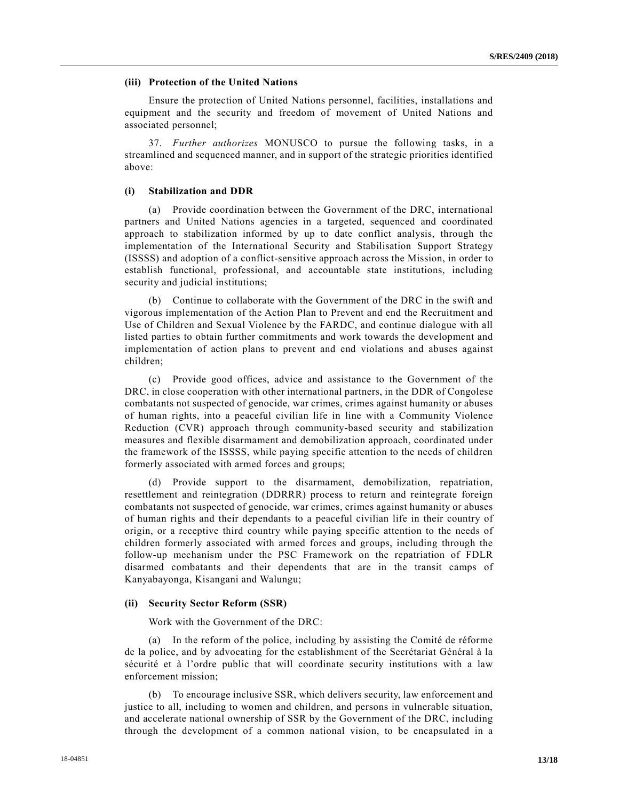### **(iii) Protection of the United Nations**

Ensure the protection of United Nations personnel, facilities, installations and equipment and the security and freedom of movement of United Nations and associated personnel;

37. *Further authorizes* MONUSCO to pursue the following tasks, in a streamlined and sequenced manner, and in support of the strategic priorities identified above:

#### **(i) Stabilization and DDR**

(a) Provide coordination between the Government of the DRC, international partners and United Nations agencies in a targeted, sequenced and coordinated approach to stabilization informed by up to date conflict analysis, through the implementation of the International Security and Stabilisation Support Strategy (ISSSS) and adoption of a conflict-sensitive approach across the Mission, in order to establish functional, professional, and accountable state institutions, including security and judicial institutions;

(b) Continue to collaborate with the Government of the DRC in the swift and vigorous implementation of the Action Plan to Prevent and end the Recruitment and Use of Children and Sexual Violence by the FARDC, and continue dialogue with all listed parties to obtain further commitments and work towards the development and implementation of action plans to prevent and end violations and abuses against children;

(c) Provide good offices, advice and assistance to the Government of the DRC, in close cooperation with other international partners, in the DDR of Congolese combatants not suspected of genocide, war crimes, crimes against humanity or abuses of human rights, into a peaceful civilian life in line with a Community Violence Reduction (CVR) approach through community-based security and stabilization measures and flexible disarmament and demobilization approach, coordinated under the framework of the ISSSS, while paying specific attention to the needs of children formerly associated with armed forces and groups;

(d) Provide support to the disarmament, demobilization, repatriation, resettlement and reintegration (DDRRR) process to return and reintegrate foreign combatants not suspected of genocide, war crimes, crimes against humanity or abuses of human rights and their dependants to a peaceful civilian life in their country of origin, or a receptive third country while paying specific attention to the needs of children formerly associated with armed forces and groups, including through the follow-up mechanism under the PSC Framework on the repatriation of FDLR disarmed combatants and their dependents that are in the transit camps of Kanyabayonga, Kisangani and Walungu;

#### **(ii) Security Sector Reform (SSR)**

Work with the Government of the DRC:

(a) In the reform of the police, including by assisting the Comité de réforme de la police, and by advocating for the establishment of the Secrétariat Général à la sécurité et à l'ordre public that will coordinate security institutions with a law enforcement mission;

(b) To encourage inclusive SSR, which delivers security, law enforcement and justice to all, including to women and children, and persons in vulnerable situation, and accelerate national ownership of SSR by the Government of the DRC, including through the development of a common national vision, to be encapsulated in a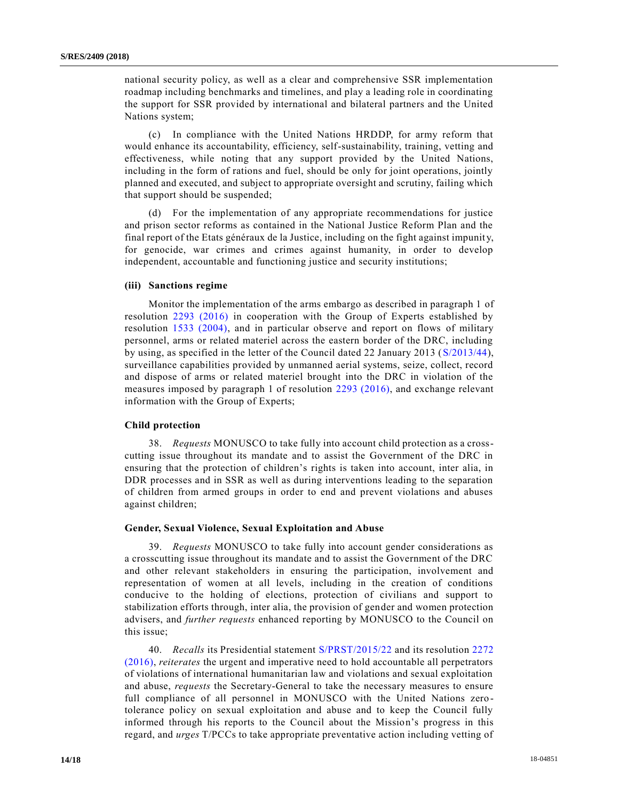national security policy, as well as a clear and comprehensive SSR implementation roadmap including benchmarks and timelines, and play a leading role in coordinating the support for SSR provided by international and bilateral partners and the United Nations system;

(c) In compliance with the United Nations HRDDP, for army reform that would enhance its accountability, efficiency, self-sustainability, training, vetting and effectiveness, while noting that any support provided by the United Nations, including in the form of rations and fuel, should be only for joint operations, jointly planned and executed, and subject to appropriate oversight and scrutiny, failing which that support should be suspended;

(d) For the implementation of any appropriate recommendations for justice and prison sector reforms as contained in the National Justice Reform Plan and the final report of the Etats généraux de la Justice, including on the fight against impunity, for genocide, war crimes and crimes against humanity, in order to develop independent, accountable and functioning justice and security institutions;

#### **(iii) Sanctions regime**

Monitor the implementation of the arms embargo as described in paragraph 1 of resolution [2293 \(2016\)](https://undocs.org/S/RES/2293(2016)) in cooperation with the Group of Experts established by resolution [1533 \(2004\),](https://undocs.org/S/RES/1533(2004)) and in particular observe and report on flows of military personnel, arms or related materiel across the eastern border of the DRC, including by using, as specified in the letter of the Council dated 22 January 2013 [\(S/2013/44\)](https://undocs.org/S/2013/44), surveillance capabilities provided by unmanned aerial systems, seize, collect, record and dispose of arms or related materiel brought into the DRC in violation of the measures imposed by paragraph 1 of resolution [2293 \(2016\),](https://undocs.org/S/RES/2293(2016)) and exchange relevant information with the Group of Experts;

#### **Child protection**

38. *Requests* MONUSCO to take fully into account child protection as a crosscutting issue throughout its mandate and to assist the Government of the DRC in ensuring that the protection of children's rights is taken into account, inter alia, in DDR processes and in SSR as well as during interventions leading to the separation of children from armed groups in order to end and prevent violations and abuses against children;

#### **Gender, Sexual Violence, Sexual Exploitation and Abuse**

39. *Requests* MONUSCO to take fully into account gender considerations as a crosscutting issue throughout its mandate and to assist the Government of the DRC and other relevant stakeholders in ensuring the participation, involvement and representation of women at all levels, including in the creation of conditions conducive to the holding of elections, protection of civilians and support to stabilization efforts through, inter alia, the provision of gender and women protection advisers, and *further requests* enhanced reporting by MONUSCO to the Council on this issue;

40. *Recalls* its Presidential statement [S/PRST/2015/22](https://undocs.org/S/PRST/2015/22) and its resolution [2272](https://undocs.org/S/RES/2272(2016))  [\(2016\),](https://undocs.org/S/RES/2272(2016)) *reiterates* the urgent and imperative need to hold accountable all perpetrators of violations of international humanitarian law and violations and sexual exploitation and abuse, *requests* the Secretary-General to take the necessary measures to ensure full compliance of all personnel in MONUSCO with the United Nations zerotolerance policy on sexual exploitation and abuse and to keep the Council fully informed through his reports to the Council about the Mission's progress in this regard, and *urges* T/PCCs to take appropriate preventative action including vetting of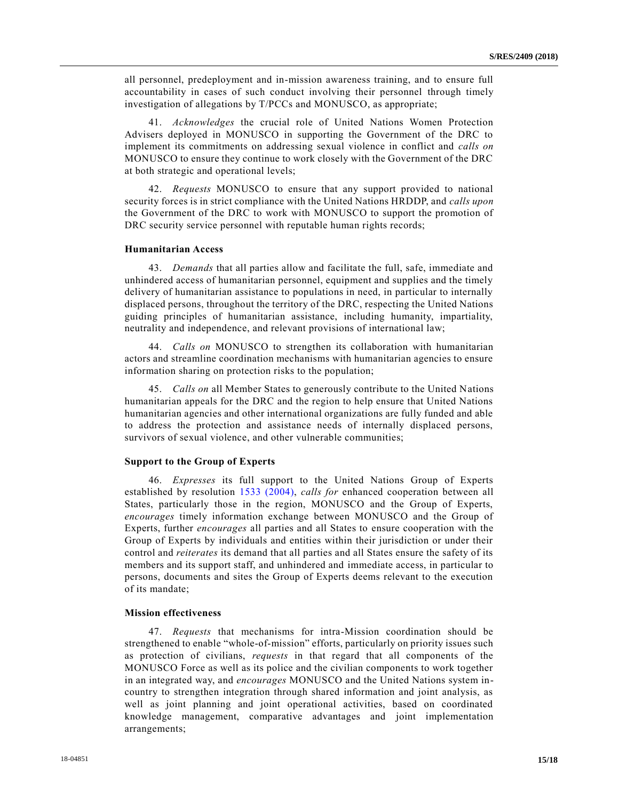all personnel, predeployment and in-mission awareness training, and to ensure full accountability in cases of such conduct involving their personnel through timely investigation of allegations by T/PCCs and MONUSCO, as appropriate;

41. *Acknowledges* the crucial role of United Nations Women Protection Advisers deployed in MONUSCO in supporting the Government of the DRC to implement its commitments on addressing sexual violence in conflict and *calls on* MONUSCO to ensure they continue to work closely with the Government of the DRC at both strategic and operational levels;

42. *Requests* MONUSCO to ensure that any support provided to national security forces is in strict compliance with the United Nations HRDDP, and *calls upon* the Government of the DRC to work with MONUSCO to support the promotion of DRC security service personnel with reputable human rights records;

#### **Humanitarian Access**

43. *Demands* that all parties allow and facilitate the full, safe, immediate and unhindered access of humanitarian personnel, equipment and supplies and the timely delivery of humanitarian assistance to populations in need, in particular to internally displaced persons, throughout the territory of the DRC, respecting the United Nations guiding principles of humanitarian assistance, including humanity, impartiality, neutrality and independence, and relevant provisions of international law;

44. *Calls on* MONUSCO to strengthen its collaboration with humanitarian actors and streamline coordination mechanisms with humanitarian agencies to ensure information sharing on protection risks to the population;

45. *Calls on* all Member States to generously contribute to the United Nations humanitarian appeals for the DRC and the region to help ensure that United Nations humanitarian agencies and other international organizations are fully funded and able to address the protection and assistance needs of internally displaced persons, survivors of sexual violence, and other vulnerable communities;

### **Support to the Group of Experts**

46. *Expresses* its full support to the United Nations Group of Experts established by resolution [1533 \(2004\),](https://undocs.org/S/RES/1533(2004)) *calls for* enhanced cooperation between all States, particularly those in the region, MONUSCO and the Group of Experts, *encourages* timely information exchange between MONUSCO and the Group of Experts, further *encourages* all parties and all States to ensure cooperation with the Group of Experts by individuals and entities within their jurisdiction or under their control and *reiterates* its demand that all parties and all States ensure the safety of its members and its support staff, and unhindered and immediate access, in particular to persons, documents and sites the Group of Experts deems relevant to the execution of its mandate;

#### **Mission effectiveness**

47. *Requests* that mechanisms for intra-Mission coordination should be strengthened to enable "whole-of-mission" efforts, particularly on priority issues such as protection of civilians, *requests* in that regard that all components of the MONUSCO Force as well as its police and the civilian components to work together in an integrated way, and *encourages* MONUSCO and the United Nations system incountry to strengthen integration through shared information and joint analysis, as well as joint planning and joint operational activities, based on coordinated knowledge management, comparative advantages and joint implementation arrangements;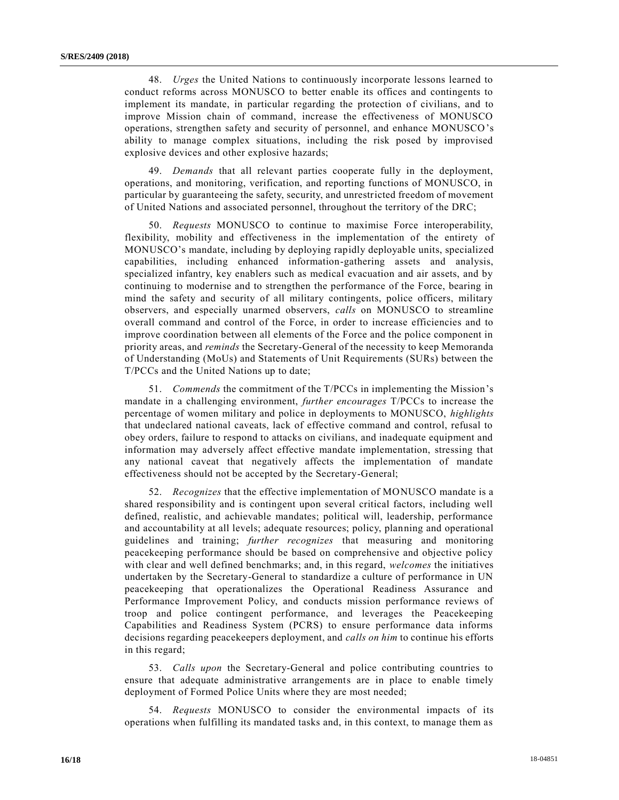48. *Urges* the United Nations to continuously incorporate lessons learned to conduct reforms across MONUSCO to better enable its offices and contingents to implement its mandate, in particular regarding the protection of civilians, and to improve Mission chain of command, increase the effectiveness of MONUSCO operations, strengthen safety and security of personnel, and enhance MONUSCO's ability to manage complex situations, including the risk posed by improvised explosive devices and other explosive hazards;

49. *Demands* that all relevant parties cooperate fully in the deployment, operations, and monitoring, verification, and reporting functions of MONUSCO, in particular by guaranteeing the safety, security, and unrestricted freedom of movement of United Nations and associated personnel, throughout the territory of the DRC;

50. *Requests* MONUSCO to continue to maximise Force interoperability, flexibility, mobility and effectiveness in the implementation of the entirety of MONUSCO's mandate, including by deploying rapidly deployable units, specialized capabilities, including enhanced information-gathering assets and analysis, specialized infantry, key enablers such as medical evacuation and air assets, and by continuing to modernise and to strengthen the performance of the Force, bearing in mind the safety and security of all military contingents, police officers, military observers, and especially unarmed observers, *calls* on MONUSCO to streamline overall command and control of the Force, in order to increase efficiencies and to improve coordination between all elements of the Force and the police component in priority areas, and *reminds* the Secretary-General of the necessity to keep Memoranda of Understanding (MoUs) and Statements of Unit Requirements (SURs) between the T/PCCs and the United Nations up to date;

51. *Commends* the commitment of the T/PCCs in implementing the Mission's mandate in a challenging environment, *further encourages* T/PCCs to increase the percentage of women military and police in deployments to MONUSCO, *highlights* that undeclared national caveats, lack of effective command and control, refusal to obey orders, failure to respond to attacks on civilians, and inadequate equipment and information may adversely affect effective mandate implementation, stressing that any national caveat that negatively affects the implementation of mandate effectiveness should not be accepted by the Secretary-General;

52. *Recognizes* that the effective implementation of MONUSCO mandate is a shared responsibility and is contingent upon several critical factors, including well defined, realistic, and achievable mandates; political will, leadership, performance and accountability at all levels; adequate resources; policy, planning and operational guidelines and training; *further recognizes* that measuring and monitoring peacekeeping performance should be based on comprehensive and objective policy with clear and well defined benchmarks; and, in this regard, *welcomes* the initiatives undertaken by the Secretary-General to standardize a culture of performance in UN peacekeeping that operationalizes the Operational Readiness Assurance and Performance Improvement Policy, and conducts mission performance reviews of troop and police contingent performance, and leverages the Peacekeeping Capabilities and Readiness System (PCRS) to ensure performance data informs decisions regarding peacekeepers deployment, and *calls on him* to continue his efforts in this regard;

53. *Calls upon* the Secretary-General and police contributing countries to ensure that adequate administrative arrangements are in place to enable timely deployment of Formed Police Units where they are most needed;

54. *Requests* MONUSCO to consider the environmental impacts of its operations when fulfilling its mandated tasks and, in this context, to manage them as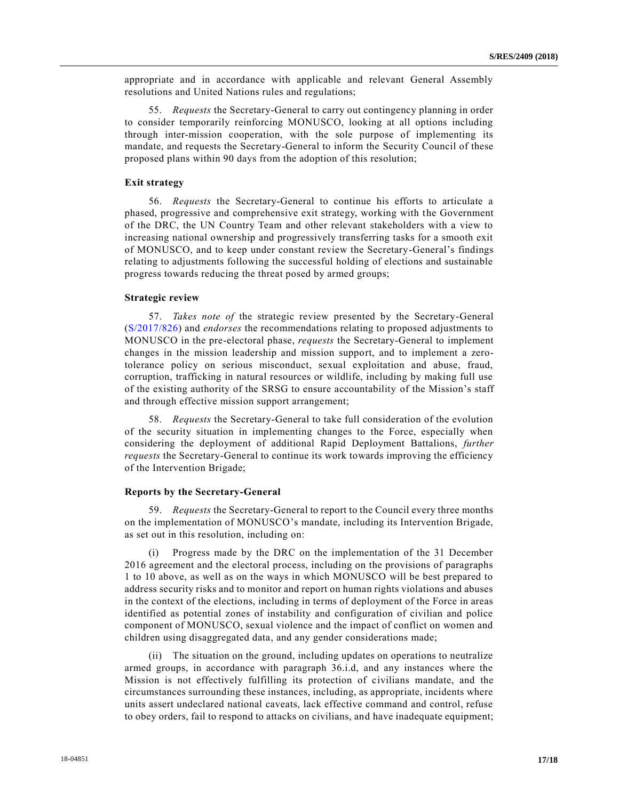appropriate and in accordance with applicable and relevant General Assembly resolutions and United Nations rules and regulations;

55. *Requests* the Secretary-General to carry out contingency planning in order to consider temporarily reinforcing MONUSCO, looking at all options including through inter-mission cooperation, with the sole purpose of implementing its mandate, and requests the Secretary-General to inform the Security Council of these proposed plans within 90 days from the adoption of this resolution;

# **Exit strategy**

56. *Requests* the Secretary-General to continue his efforts to articulate a phased, progressive and comprehensive exit strategy, working with the Government of the DRC, the UN Country Team and other relevant stakeholders with a view to increasing national ownership and progressively transferring tasks for a smooth exit of MONUSCO, and to keep under constant review the Secretary-General's findings relating to adjustments following the successful holding of elections and sustainable progress towards reducing the threat posed by armed groups;

### **Strategic review**

57. *Takes note of* the strategic review presented by the Secretary-General [\(S/2017/826\)](https://undocs.org/S/2017/826) and *endorses* the recommendations relating to proposed adjustments to MONUSCO in the pre-electoral phase, *requests* the Secretary-General to implement changes in the mission leadership and mission support, and to implement a zerotolerance policy on serious misconduct, sexual exploitation and abuse, fraud, corruption, trafficking in natural resources or wildlife, including by making full use of the existing authority of the SRSG to ensure accountability of the Mission's staff and through effective mission support arrangement;

58. *Requests* the Secretary-General to take full consideration of the evolution of the security situation in implementing changes to the Force, especially when considering the deployment of additional Rapid Deployment Battalions, *further requests* the Secretary-General to continue its work towards improving the efficiency of the Intervention Brigade;

#### **Reports by the Secretary-General**

59. *Requests* the Secretary-General to report to the Council every three months on the implementation of MONUSCO's mandate, including its Intervention Brigade, as set out in this resolution, including on:

(i) Progress made by the DRC on the implementation of the 31 December 2016 agreement and the electoral process, including on the provisions of paragraphs 1 to 10 above, as well as on the ways in which MONUSCO will be best prepared to address security risks and to monitor and report on human rights violations and abuses in the context of the elections, including in terms of deployment of the Force in areas identified as potential zones of instability and configuration of civilian and police component of MONUSCO, sexual violence and the impact of conflict on women and children using disaggregated data, and any gender considerations made;

(ii) The situation on the ground, including updates on operations to neutralize armed groups, in accordance with paragraph 36.i.d, and any instances where the Mission is not effectively fulfilling its protection of civilians mandate, and the circumstances surrounding these instances, including, as appropriate, incidents where units assert undeclared national caveats, lack effective command and control, refuse to obey orders, fail to respond to attacks on civilians, and have inadequate equipment;